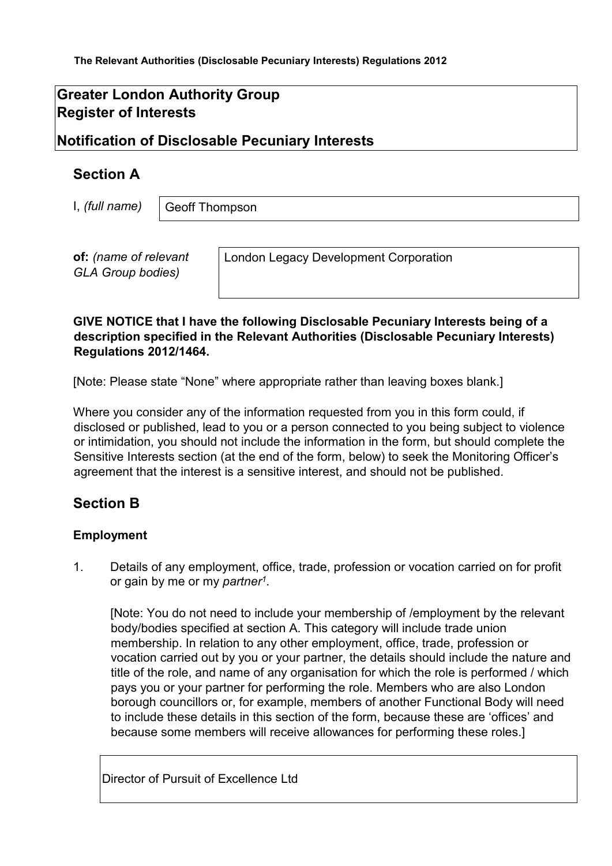# **Greater London Authority Group Register of Interests**

## **Notification of Disclosable Pecuniary Interests**

## **Section A**

I, *(full name)* 

Geoff Thompson

**of:** *(name of relevant GLA Group bodies)* 

London Legacy Development Corporation

#### **GIVE NOTICE that I have the following Disclosable Pecuniary Interests being of a description specified in the Relevant Authorities (Disclosable Pecuniary Interests) Regulations 2012/1464.**

[Note: Please state "None" where appropriate rather than leaving boxes blank.]

Where you consider any of the information requested from you in this form could, if disclosed or published, lead to you or a person connected to you being subject to violence or intimidation, you should not include the information in the form, but should complete the Sensitive Interests section (at the end of the form, below) to seek the Monitoring Officer's agreement that the interest is a sensitive interest, and should not be published.

# **Section B**

#### **Employment**

1. Details of any employment, office, trade, profession or vocation carried on for profit or gain by me or my *partner1.* 

[Note: You do not need to include your membership of /employment by the relevant body/bodies specified at section A. This category will include trade union membership. In relation to any other employment, office, trade, profession or vocation carried out by you or your partner, the details should include the nature and title of the role, and name of any organisation for which the role is performed / which pays you or your partner for performing the role. Members who are also London borough councillors or, for example, members of another Functional Body will need to include these details in this section of the form, because these are 'offices' and because some members will receive allowances for performing these roles.]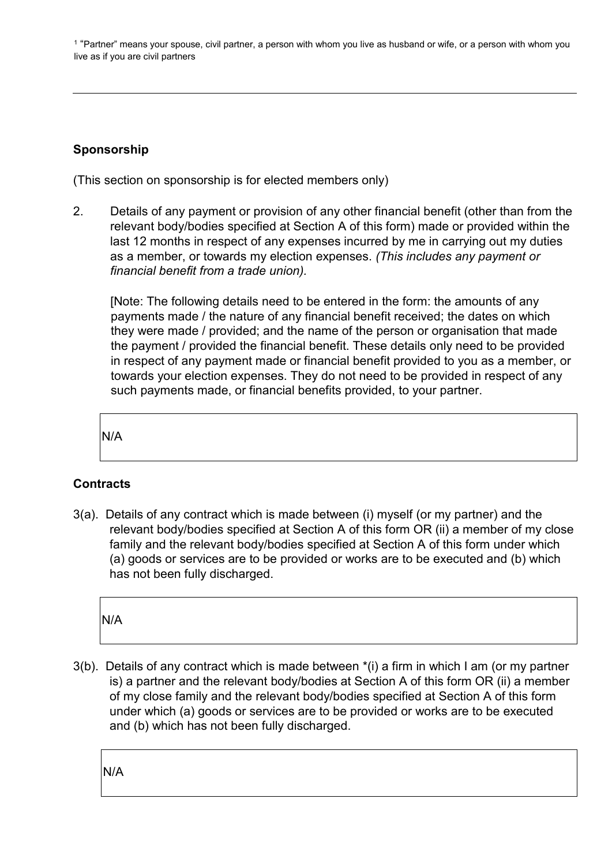<sup>1</sup> "Partner" means your spouse, civil partner, a person with whom you live as husband or wife, or a person with whom you live as if you are civil partners

## **Sponsorship**

(This section on sponsorship is for elected members only)

2. Details of any payment or provision of any other financial benefit (other than from the relevant body/bodies specified at Section A of this form) made or provided within the last 12 months in respect of any expenses incurred by me in carrying out my duties as a member, or towards my election expenses. *(This includes any payment or financial benefit from a trade union).*

[Note: The following details need to be entered in the form: the amounts of any payments made / the nature of any financial benefit received; the dates on which they were made / provided; and the name of the person or organisation that made the payment / provided the financial benefit. These details only need to be provided in respect of any payment made or financial benefit provided to you as a member, or towards your election expenses. They do not need to be provided in respect of any such payments made, or financial benefits provided, to your partner.

N/A

### **Contracts**

3(a). Details of any contract which is made between (i) myself (or my partner) and the relevant body/bodies specified at Section A of this form OR (ii) a member of my close family and the relevant body/bodies specified at Section A of this form under which (a) goods or services are to be provided or works are to be executed and (b) which has not been fully discharged.

N/A

3(b). Details of any contract which is made between \*(i) a firm in which I am (or my partner is) a partner and the relevant body/bodies at Section A of this form OR (ii) a member of my close family and the relevant body/bodies specified at Section A of this form under which (a) goods or services are to be provided or works are to be executed and (b) which has not been fully discharged.

N/A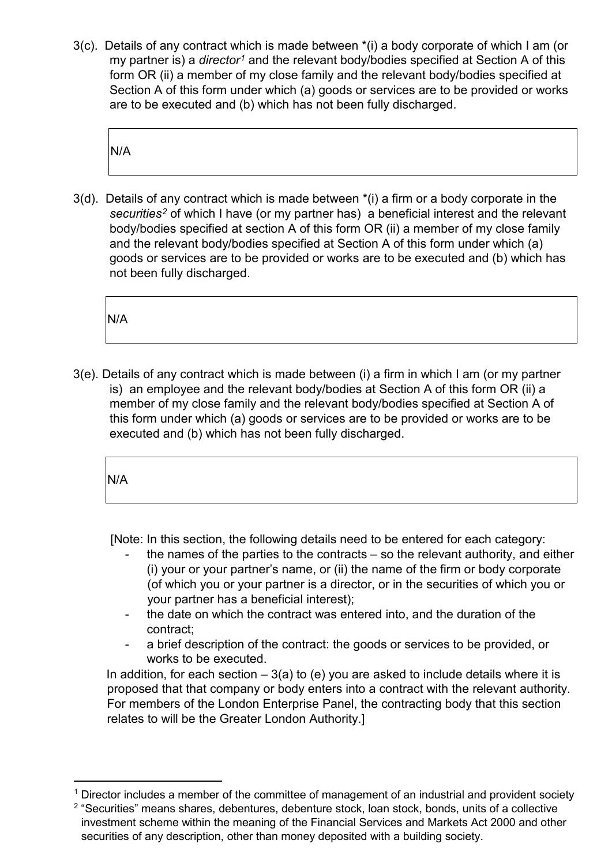3(c). Details of any contract which is made between \*(i) a body corporate of which I am (or my partner is) a *director[1](#page-2-0)* and the relevant body/bodies specified at Section A of this form OR (ii) a member of my close family and the relevant body/bodies specified at Section A of this form under which (a) goods or services are to be provided or works are to be executed and (b) which has not been fully discharged.

N/A

3(d). Details of any contract which is made between \*(i) a firm or a body corporate in the *securities[2](#page-2-1)* of which I have (or my partner has) a beneficial interest and the relevant body/bodies specified at section A of this form OR (ii) a member of my close family and the relevant body/bodies specified at Section A of this form under which (a) goods or services are to be provided or works are to be executed and (b) which has not been fully discharged.

N/A

3(e). Details of any contract which is made between (i) a firm in which I am (or my partner is) an employee and the relevant body/bodies at Section A of this form OR (ii) a member of my close family and the relevant body/bodies specified at Section A of this form under which (a) goods or services are to be provided or works are to be executed and (b) which has not been fully discharged.

N/A

[Note: In this section, the following details need to be entered for each category:

- the names of the parties to the contracts  $-$  so the relevant authority, and either (i) your or your partner's name, or (ii) the name of the firm or body corporate (of which you or your partner is a director, or in the securities of which you or your partner has a beneficial interest);
- the date on which the contract was entered into, and the duration of the contract;
- a brief description of the contract: the goods or services to be provided, or works to be executed.

In addition, for each section  $-3(a)$  to (e) you are asked to include details where it is proposed that that company or body enters into a contract with the relevant authority. For members of the London Enterprise Panel, the contracting body that this section relates to will be the Greater London Authority.]

<span id="page-2-0"></span> $1$  Director includes a member of the committee of management of an industrial and provident society

<span id="page-2-1"></span><sup>&</sup>lt;sup>2</sup> "Securities" means shares, debentures, debenture stock, loan stock, bonds, units of a collective investment scheme within the meaning of the Financial Services and Markets Act 2000 and other securities of any description, other than money deposited with a building society.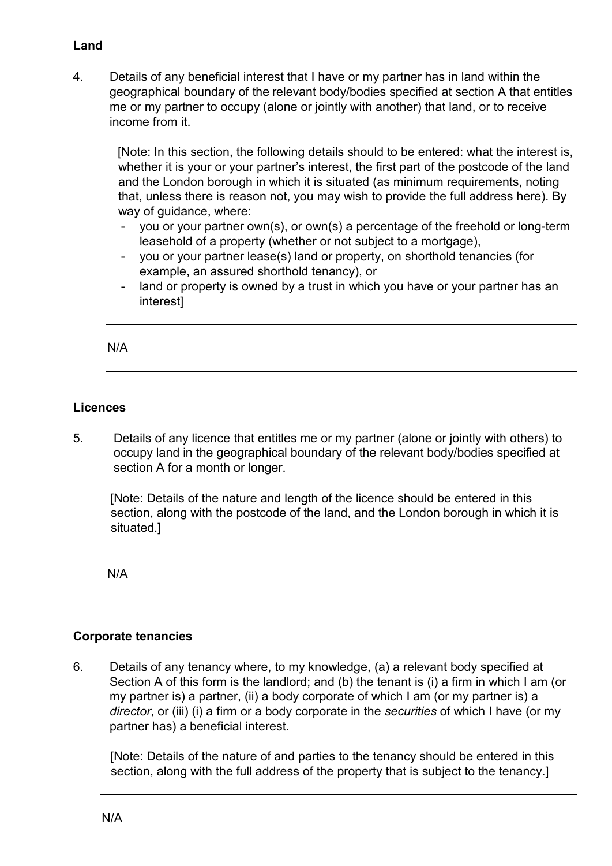### **Land**

4. Details of any beneficial interest that I have or my partner has in land within the geographical boundary of the relevant body/bodies specified at section A that entitles me or my partner to occupy (alone or jointly with another) that land, or to receive income from it.

[Note: In this section, the following details should to be entered: what the interest is, whether it is your or your partner's interest, the first part of the postcode of the land and the London borough in which it is situated (as minimum requirements, noting that, unless there is reason not, you may wish to provide the full address here). By way of guidance, where:

- you or your partner own(s), or own(s) a percentage of the freehold or long-term leasehold of a property (whether or not subject to a mortgage),
- you or your partner lease(s) land or property, on shorthold tenancies (for example, an assured shorthold tenancy), or
- land or property is owned by a trust in which you have or your partner has an interest]

N/A

### **Licences**

5. Details of any licence that entitles me or my partner (alone or jointly with others) to occupy land in the geographical boundary of the relevant body/bodies specified at section A for a month or longer.

[Note: Details of the nature and length of the licence should be entered in this section, along with the postcode of the land, and the London borough in which it is situated.]

N/A

#### **Corporate tenancies**

6. Details of any tenancy where, to my knowledge, (a) a relevant body specified at Section A of this form is the landlord; and (b) the tenant is (i) a firm in which I am (or my partner is) a partner, (ii) a body corporate of which I am (or my partner is) a *director*, or (iii) (i) a firm or a body corporate in the *securities* of which I have (or my partner has) a beneficial interest.

[Note: Details of the nature of and parties to the tenancy should be entered in this section, along with the full address of the property that is subject to the tenancy.]

N/A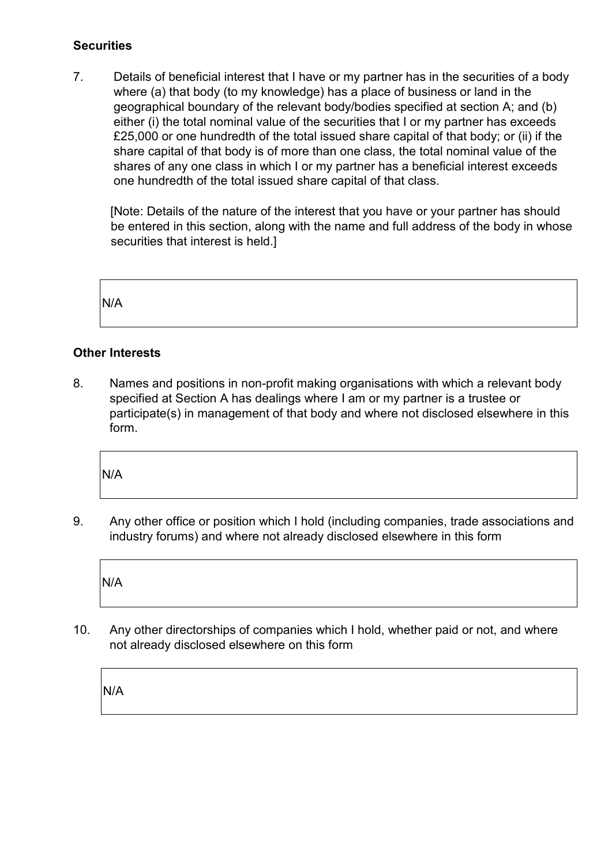### **Securities**

7. Details of beneficial interest that I have or my partner has in the securities of a body where (a) that body (to my knowledge) has a place of business or land in the geographical boundary of the relevant body/bodies specified at section A; and (b) either (i) the total nominal value of the securities that I or my partner has exceeds £25,000 or one hundredth of the total issued share capital of that body; or (ii) if the share capital of that body is of more than one class, the total nominal value of the shares of any one class in which I or my partner has a beneficial interest exceeds one hundredth of the total issued share capital of that class.

[Note: Details of the nature of the interest that you have or your partner has should be entered in this section, along with the name and full address of the body in whose securities that interest is held.]

N/A

### **Other Interests**

8. Names and positions in non-profit making organisations with which a relevant body specified at Section A has dealings where I am or my partner is a trustee or participate(s) in management of that body and where not disclosed elsewhere in this form.

N/A

9. Any other office or position which I hold (including companies, trade associations and industry forums) and where not already disclosed elsewhere in this form

N/A

10. Any other directorships of companies which I hold, whether paid or not, and where not already disclosed elsewhere on this form

N/A